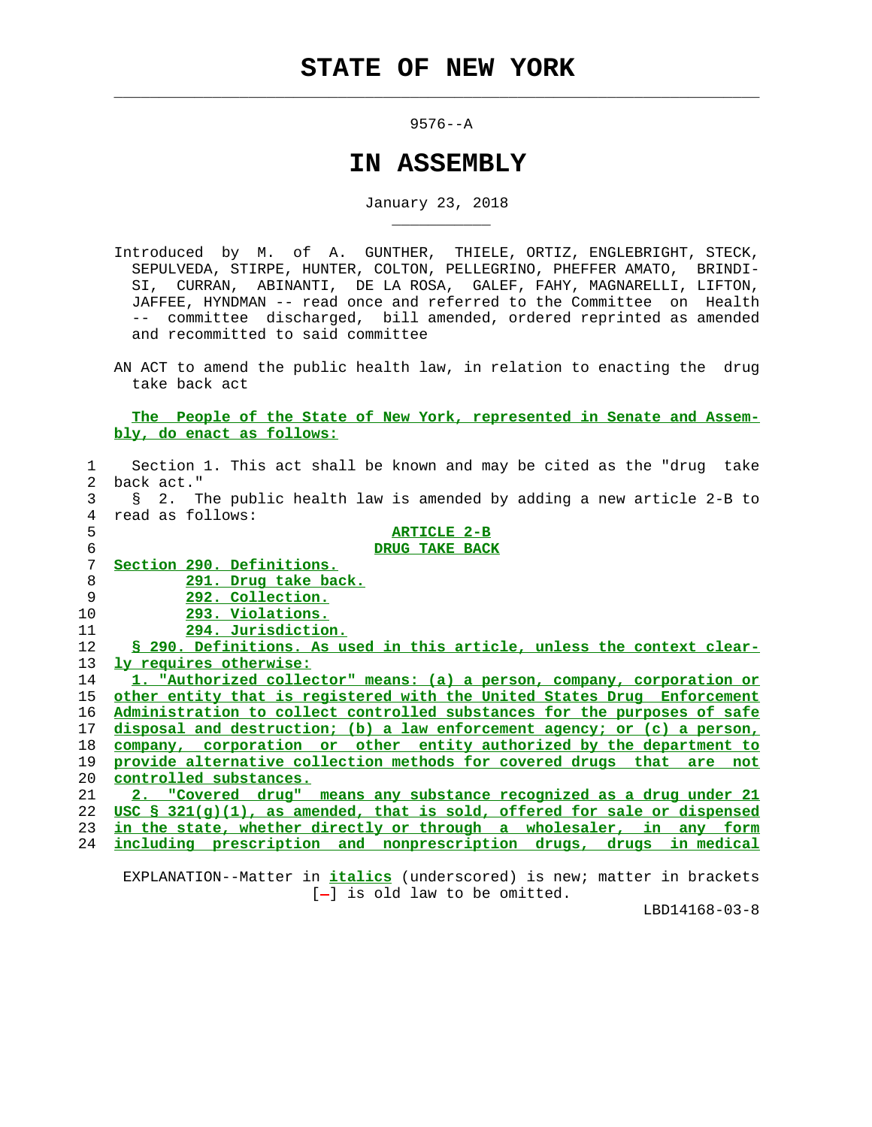$\mathcal{L}_\text{max} = \frac{1}{2} \sum_{i=1}^{n} \frac{1}{2} \sum_{i=1}^{n} \frac{1}{2} \sum_{i=1}^{n} \frac{1}{2} \sum_{i=1}^{n} \frac{1}{2} \sum_{i=1}^{n} \frac{1}{2} \sum_{i=1}^{n} \frac{1}{2} \sum_{i=1}^{n} \frac{1}{2} \sum_{i=1}^{n} \frac{1}{2} \sum_{i=1}^{n} \frac{1}{2} \sum_{i=1}^{n} \frac{1}{2} \sum_{i=1}^{n} \frac{1}{2} \sum_{i=1}^{n} \frac{1$ 

\_\_\_\_\_\_\_\_\_\_\_

## 9576--A

## **IN ASSEMBLY**

January 23, 2018

 Introduced by M. of A. GUNTHER, THIELE, ORTIZ, ENGLEBRIGHT, STECK, SEPULVEDA, STIRPE, HUNTER, COLTON, PELLEGRINO, PHEFFER AMATO, BRINDI- SI, CURRAN, ABINANTI, DE LA ROSA, GALEF, FAHY, MAGNARELLI, LIFTON, JAFFEE, HYNDMAN -- read once and referred to the Committee on Health -- committee discharged, bill amended, ordered reprinted as amended and recommitted to said committee

 AN ACT to amend the public health law, in relation to enacting the drug take back act

 **The People of the State of New York, represented in Senate and Assem bly, do enact as follows:**

| $\mathbf{1}$ | Section 1. This act shall be known and may be cited as the "drug take       |
|--------------|-----------------------------------------------------------------------------|
| 2.           | back act."                                                                  |
| 3            | § 2. The public health law is amended by adding a new article 2-B to        |
| 4            | read as follows:                                                            |
| 5            | <b>ARTICLE 2-B</b>                                                          |
| 6            | DRUG TAKE BACK                                                              |
| 7            | Section 290. Definitions.                                                   |
| 8            | 291. Drug take back.                                                        |
| 9            | 292. Collection.                                                            |
| 10           | 293. Violations.                                                            |
| 11           | 294. Jurisdiction.                                                          |
| 12           | \$ 290. Definitions. As used in this article, unless the context clear-     |
| 13           | ly requires otherwise:                                                      |
| 14           | 1. "Authorized collector" means: (a) a person, company, corporation or      |
| 15           | other entity that is registered with the United States Drug Enforcement     |
| 16           | Administration to collect controlled substances for the purposes of safe    |
| 17           | disposal and destruction; (b) a law enforcement agency; or (c) a person,    |
| 18           | company, corporation or other entity authorized by the department to        |
| 19           | provide alternative collection methods for covered drugs that are not       |
| 20           | controlled substances.                                                      |
| 21           | 2. "Covered drug" means any substance recognized as a drug under 21         |
| 22           | USC $\S$ 321(q)(1), as amended, that is sold, offered for sale or dispensed |
| 23           | in the state, whether directly or through a wholesaler, in any form         |
| 24           | including prescription and nonprescription drugs, drugs in medical          |
|              |                                                                             |

 EXPLANATION--Matter in **italics** (underscored) is new; matter in brackets [-] is old law to be omitted.

LBD14168-03-8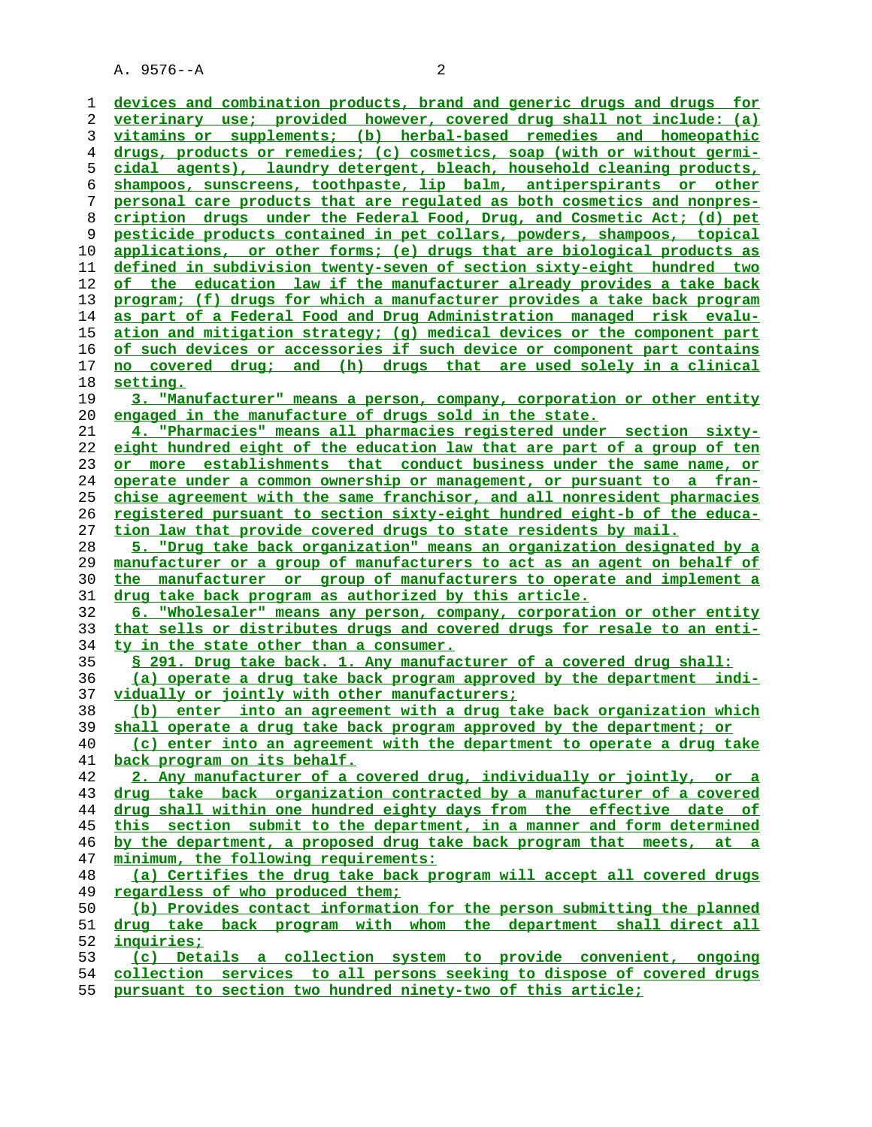A. 9576--A 2

| 1  | devices and combination products, brand and generic drugs and drugs for         |
|----|---------------------------------------------------------------------------------|
| 2  | veterinary use; provided however, covered drug shall not include: (a)           |
| 3  | vitamins or supplements; (b) herbal-based remedies and homeopathic              |
| 4  | drugs, products or remedies; (c) cosmetics, soap (with or without germi-        |
| 5  | cidal agents), laundry detergent, bleach, household cleaning products,          |
| 6  | shampoos, sunscreens, toothpaste, lip balm, antiperspirants or other            |
| 7  | personal care products that are regulated as both cosmetics and nonpres-        |
| 8  | cription drugs under the Federal Food, Drug, and Cosmetic Act; (d) pet          |
| 9  | pesticide products contained in pet collars, powders, shampoos, topical         |
| 10 | applications, or other forms; (e) drugs that are biological products as         |
| 11 | defined in subdivision twenty-seven of section sixty-eight hundred two          |
| 12 | of the education law if the manufacturer already provides a take back           |
| 13 | program; (f) drugs for which a manufacturer provides a take back program        |
| 14 | as part of a Federal Food and Drug Administration managed risk evalu-           |
| 15 | ation and mitigation strategy; (g) medical devices or the component part        |
| 16 | of such devices or accessories if such device or component part contains        |
| 17 | no covered drug; and (h) drugs that are used solely in a clinical               |
| 18 | setting.                                                                        |
| 19 | 3. "Manufacturer" means a person, company, corporation or other entity          |
| 20 | engaged in the manufacture of drugs sold in the state.                          |
| 21 | 4. "Pharmacies" means all pharmacies registered under section sixty-            |
| 22 | eight hundred eight of the education law that are part of a group of ten        |
| 23 | or more establishments that conduct business under the same name, or            |
| 24 | operate under a common ownership or management, or pursuant to a fran-          |
| 25 | chise agreement with the same franchisor, and all nonresident pharmacies        |
| 26 | <u>registered pursuant to section sixty-eight hundred eight-b of the educa-</u> |
| 27 | tion law that provide covered drugs to state residents by mail.                 |
| 28 | 5. "Drug take back organization" means an organization designated by a          |
| 29 | manufacturer or a group of manufacturers to act as an agent on behalf of        |
| 30 | the manufacturer or group of manufacturers to operate and implement a           |
| 31 | drug take back program as authorized by this article.                           |
| 32 | 6. "Wholesaler" means any person, company, corporation or other entity          |
| 33 | that sells or distributes drugs and covered drugs for resale to an enti-        |
| 34 | ty in the state other than a consumer.                                          |
| 35 | § 291. Drug take back. 1. Any manufacturer of a covered drug shall:             |
| 36 | (a) operate a drug take back program approved by the department indi-           |
| 37 | vidually or jointly with other manufacturers;                                   |
| 38 | (b) enter into an agreement with a drug take back organization which            |
| 39 | shall operate a drug take back program approved by the department; or           |
| 40 | (c) enter into an agreement with the department to operate a drug take          |
| 41 | back program on its behalf.                                                     |
| 42 | 2. Any manufacturer of a covered drug, individually or jointly, or a            |
| 43 | drug take back organization contracted by a manufacturer of a covered           |
| 44 | drug shall within one hundred eighty days from the effective date of            |
| 45 | this section submit to the department, in a manner and form determined          |
| 46 | by the department, a proposed drug take back program that meets, at a           |
| 47 | minimum, the following requirements:                                            |
| 48 | (a) Certifies the drug take back program will accept all covered drugs          |
| 49 | regardless of who produced them;                                                |
| 50 | (b) Provides contact information for the person submitting the planned          |
| 51 | drug take back program with whom the department shall direct all                |
| 52 | inquiries;                                                                      |
| 53 | (c) Details a collection system to provide convenient, ongoing                  |
| 54 | collection services to all persons seeking to dispose of covered drugs          |
| 55 | pursuant to section two hundred ninety-two of this article;                     |
|    |                                                                                 |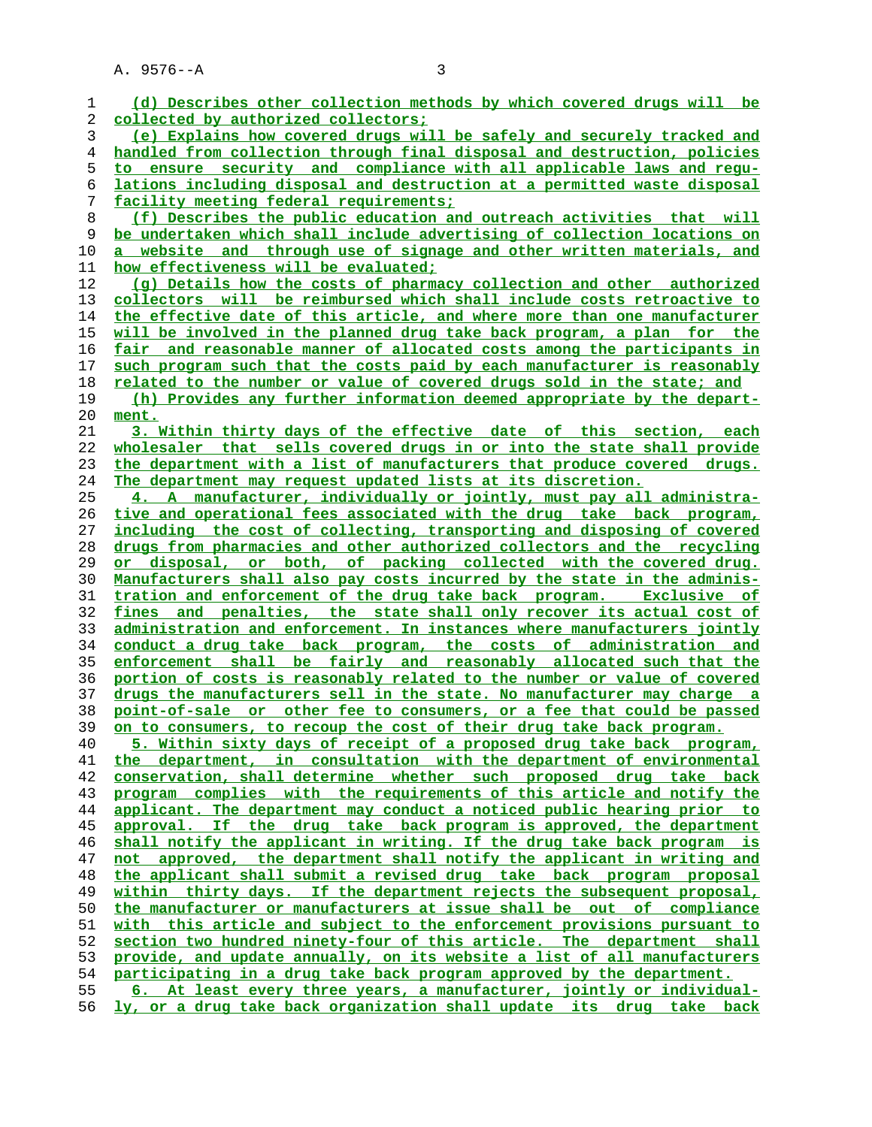A. 9576--A 3

| 1        | (d) Describes other collection methods by which covered drugs will be                                                             |
|----------|-----------------------------------------------------------------------------------------------------------------------------------|
| 2        | collected by authorized collectors;                                                                                               |
| 3        | (e) Explains how covered drugs will be safely and securely tracked and                                                            |
| 4        | handled from collection through final disposal and destruction, policies                                                          |
| 5        | to ensure security and compliance with all applicable laws and requ-                                                              |
| 6        | lations including disposal and destruction at a permitted waste disposal                                                          |
| 7        | facility meeting federal requirements;                                                                                            |
| 8        | (f) Describes the public education and outreach activities that will                                                              |
| 9        | be undertaken which shall include advertising of collection locations on                                                          |
| 10       | website and through use of signage and other written materials, and<br>a                                                          |
| 11       | how effectiveness will be evaluated;                                                                                              |
| 12       | (q) Details how the costs of pharmacy collection and other authorized                                                             |
| 13       | collectors will be reimbursed which shall include costs retroactive to                                                            |
| 14       | the effective date of this article, and where more than one manufacturer                                                          |
| 15       | will be involved in the planned drug take back program, a plan for the                                                            |
| 16       | <u>fair and reasonable manner of allocated costs among the participants in</u>                                                    |
| 17       | such program such that the costs paid by each manufacturer is reasonably                                                          |
| 18       | related to the number or value of covered drugs sold in the state; and                                                            |
| 19       | (h) Provides any further information deemed appropriate by the depart-                                                            |
| 20       | ment.                                                                                                                             |
| 21       | 3. Within thirty days of the effective date of this section, each                                                                 |
| 22       | wholesaler that sells covered drugs in or into the state shall provide                                                            |
| 23       | the department with a list of manufacturers that produce covered drugs.                                                           |
| 24       | The department may request updated lists at its discretion.                                                                       |
| 25       | 4. A manufacturer, individually or jointly, must pay all administra-                                                              |
| 26       | tive and operational fees associated with the drug take back program,                                                             |
| 27       | including the cost of collecting, transporting and disposing of covered                                                           |
| 28       | drugs from pharmacies and other authorized collectors and the recycling                                                           |
| 29       | or disposal, or both, of packing collected with the covered drug.                                                                 |
| 30       | Manufacturers shall also pay costs incurred by the state in the adminis-                                                          |
| 31<br>32 | tration and enforcement of the drug take back program. Exclusive of<br>penalties, the state shall only recover its actual cost of |
| 33       | fines and<br>administration and enforcement. In instances where manufacturers jointly                                             |
| 34       | conduct a drug take back program, the costs of administration and                                                                 |
| 35       | enforcement shall be fairly and reasonably allocated such that the                                                                |
| 36       | portion of costs is reasonably related to the number or value of covered                                                          |
| 37       | drugs the manufacturers sell in the state. No manufacturer may charge a                                                           |
| 38       | <u>point-of-sale or other fee to consumers, or a fee that could be passed</u>                                                     |
| 39       | on to consumers, to recoup the cost of their drug take back program.                                                              |
| 40       | 5. Within sixty days of receipt of a proposed drug take back program,                                                             |
| 41       | the department, in consultation with the department of environmental                                                              |
| 42       | conservation, shall determine whether such proposed drug take back                                                                |
| 43       | program complies with the requirements of this article and notify the                                                             |
| 44       | applicant. The department may conduct a noticed public hearing prior to                                                           |
| 45       | approval. If the drug take back program is approved, the department                                                               |
| 46       | shall notify the applicant in writing. If the drug take back program is                                                           |
| 47       | not approved, the department shall notify the applicant in writing and                                                            |
| 48       | the applicant shall submit a revised drug take back program proposal                                                              |
| 49       | within thirty days. If the department rejects the subsequent proposal,                                                            |
| 50       | the manufacturer or manufacturers at issue shall be out of compliance                                                             |
| 51       | with this article and subject to the enforcement provisions pursuant to                                                           |
| 52       | section two hundred ninety-four of this article. The department shall                                                             |
| 53       | provide, and update annually, on its website a list of all manufacturers                                                          |
| 54       | participating in a drug take back program approved by the department.                                                             |
| 55       | 6. At least every three years, a manufacturer, jointly or individual-                                                             |
| 56       | ly, or a drug take back organization shall update its drug take back                                                              |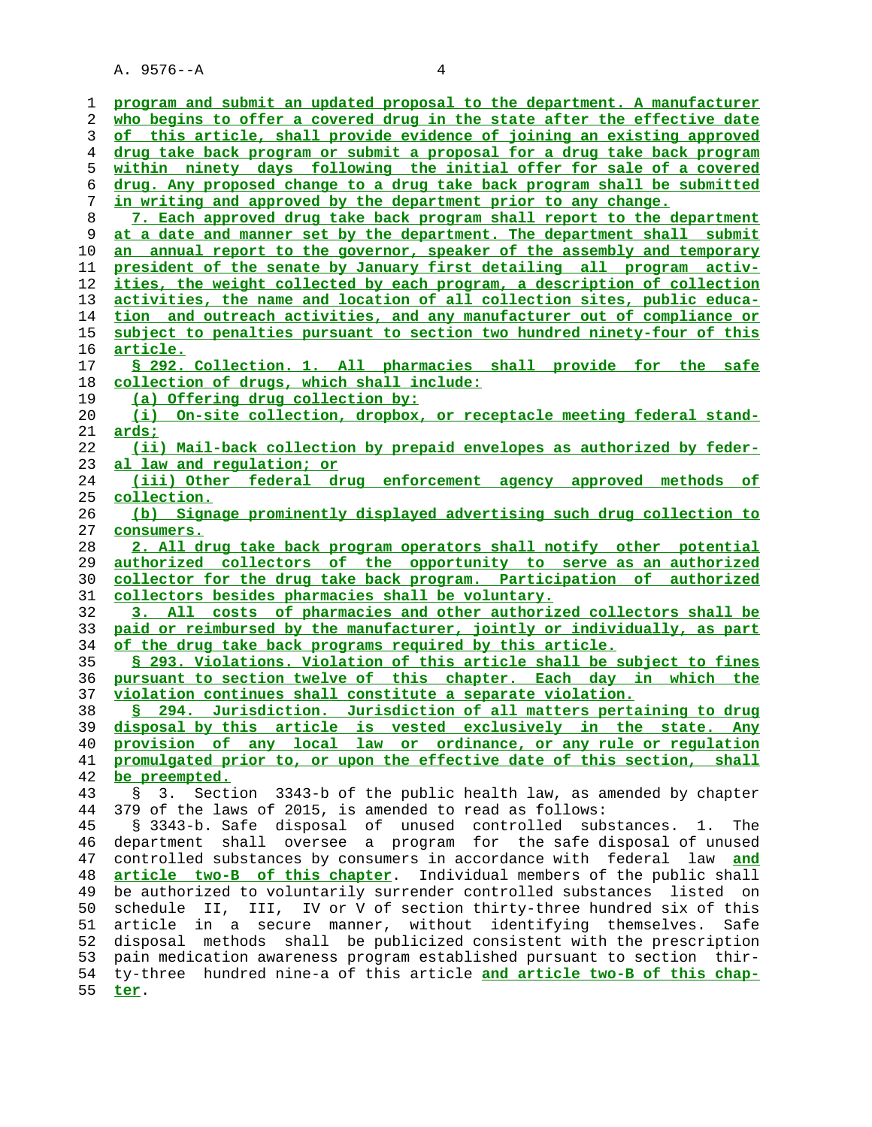A. 9576--A 4

| 1        | program and submit an updated proposal to the department. A manufacturer                                                        |
|----------|---------------------------------------------------------------------------------------------------------------------------------|
| 2        | who begins to offer a covered drug in the state after the effective date                                                        |
| 3        | of this article, shall provide evidence of joining an existing approved                                                         |
| 4        | drug take back program or submit a proposal for a drug take back program                                                        |
| 5        | within ninety days following the initial offer for sale of a covered                                                            |
| 6        | drug. Any proposed change to a drug take back program shall be submitted                                                        |
| 7        | in writing and approved by the department prior to any change.                                                                  |
| 8        | 7. Each approved drug take back program shall report to the department                                                          |
| 9        | at a date and manner set by the department. The department shall submit                                                         |
| 10       | an annual report to the governor, speaker of the assembly and temporary                                                         |
| 11       | president of the senate by January first detailing all program activ-                                                           |
| 12       | <u>ities, the weight collected by each program, a description of collection</u>                                                 |
| 13       | activities, the name and location of all collection sites, public educa-                                                        |
| 14       | tion and outreach activities, and any manufacturer out of compliance or                                                         |
| 15       | subject to penalties pursuant to section two hundred ninety-four of this                                                        |
| 16       | <u>article.</u>                                                                                                                 |
| 17       | § 292. Collection. 1. All pharmacies shall provide for the safe                                                                 |
| 18       | collection of drugs, which shall include:                                                                                       |
| 19       | (a) Offering drug collection by:                                                                                                |
| 20       | (i) On-site collection, dropbox, or receptacle meeting federal stand-                                                           |
| 21       | <u>ards;</u>                                                                                                                    |
| 22       | (ii) Mail-back collection by prepaid envelopes as authorized by feder-                                                          |
| 23       | al law and regulation; or                                                                                                       |
| 24       | (iii) Other federal drug enforcement agency approved methods of                                                                 |
| 25       | <u>collection.</u>                                                                                                              |
| 26       | (b) Signage prominently displayed advertising such drug collection to                                                           |
| 27       | consumers.                                                                                                                      |
|          |                                                                                                                                 |
|          |                                                                                                                                 |
| 28       | 2. All drug take back program operators shall notify other potential                                                            |
| 29       | authorized collectors of the opportunity to serve as an authorized                                                              |
| 30       | collector for the drug take back program. Participation of authorized                                                           |
| 31       | collectors besides pharmacies shall be voluntary.                                                                               |
| 32       | 3. All costs of pharmacies and other authorized collectors shall be                                                             |
| 33<br>34 | paid or reimbursed by the manufacturer, jointly or individually, as part                                                        |
|          | of the drug take back programs required by this article.                                                                        |
| 35       | § 293. Violations. Violation of this article shall be subject to fines                                                          |
| 36       | pursuant to section twelve of this chapter. Each day in which the<br>violation continues shall constitute a separate violation. |
| 37<br>38 | § 294. Jurisdiction. Jurisdiction of all matters pertaining to drug                                                             |
| 39       | disposal by this article is vested exclusively in the state.<br>Any                                                             |
| 40       | provision of any local law or ordinance, or any rule or requlation                                                              |
| 41       | promulgated prior to, or upon the effective date of this section, shall                                                         |
| 42       | be preempted.                                                                                                                   |
| 43       | Section 3343-b of the public health law, as amended by chapter<br>3.<br>S.                                                      |
| 44       | 379 of the laws of 2015, is amended to read as follows:                                                                         |
| 45       | § 3343-b. Safe disposal<br>of<br>unused controlled<br>substances.<br>1.<br>The                                                  |
| 46       | shall<br>a program for the safe disposal of unused<br>oversee<br>department                                                     |
| 47       | controlled substances by consumers in accordance with federal<br>and<br>law                                                     |
| 48       | article two-B of this chapter.<br>Individual members of the public shall                                                        |
| 49       | be authorized to voluntarily surrender controlled substances<br>listed<br>on                                                    |
| 50       | III, IV or V of section thirty-three hundred six of this<br>schedule<br>II.                                                     |
| 51       | article<br>secure manner, without identifying themselves.<br>in a<br>Safe                                                       |
| 52       | methods<br>shall be publicized consistent with the prescription<br>disposal                                                     |
| 53       | pain medication awareness program established pursuant to section thir-                                                         |
| 54<br>55 | ty-three hundred nine-a of this article and article two-B of this chap-                                                         |